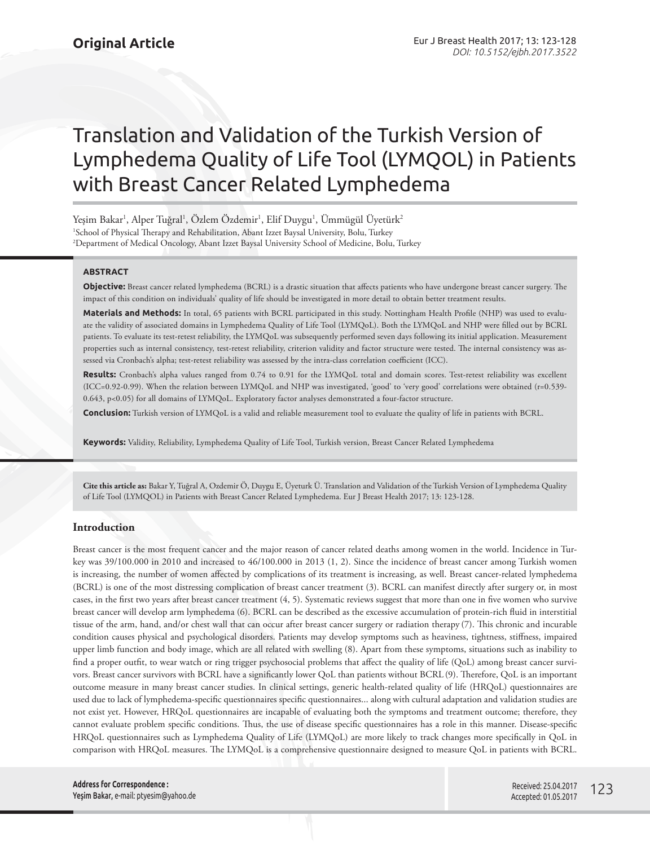# Translation and Validation of the Turkish Version of Lymphedema Quality of Life Tool (LYMQOL) in Patients with Breast Cancer Related Lymphedema

Yeşim Bakar<sup>ı</sup>, Alper Tuğral<sup>ı</sup>, Özlem Özdemir<sup>ı</sup>, Elif Duygu<sup>ı</sup>, Ümmügül Üyetürk<sup>2</sup> 1 School of Physical Therapy and Rehabilitation, Abant Izzet Baysal University, Bolu, Turkey 2 Department of Medical Oncology, Abant Izzet Baysal University School of Medicine, Bolu, Turkey

## **ABSTRACT**

**Objective:** Breast cancer related lymphedema (BCRL) is a drastic situation that affects patients who have undergone breast cancer surgery. The impact of this condition on individuals' quality of life should be investigated in more detail to obtain better treatment results.

**Materials and Methods:** In total, 65 patients with BCRL participated in this study. Nottingham Health Profile (NHP) was used to evaluate the validity of associated domains in Lymphedema Quality of Life Tool (LYMQoL). Both the LYMQoL and NHP were filled out by BCRL patients. To evaluate its test-retest reliability, the LYMQoL was subsequently performed seven days following its initial application. Measurement properties such as internal consistency, test-retest reliability, criterion validity and factor structure were tested. The internal consistency was assessed via Cronbach's alpha; test-retest reliability was assessed by the intra-class correlation coefficient (ICC).

**Results:** Cronbach's alpha values ranged from 0.74 to 0.91 for the LYMQoL total and domain scores. Test-retest reliability was excellent (ICC=0.92-0.99). When the relation between LYMQoL and NHP was investigated, 'good' to 'very good' correlations were obtained (r=0.539- 0.643, p<0.05) for all domains of LYMQoL. Exploratory factor analyses demonstrated a four-factor structure.

**Conclusion:** Turkish version of LYMQoL is a valid and reliable measurement tool to evaluate the quality of life in patients with BCRL.

**Keywords:** Validity, Reliability, Lymphedema Quality of Life Tool, Turkish version, Breast Cancer Related Lymphedema

**Cite this article as:** Bakar Y, Tuğral A, Ozdemir Ö, Duygu E, Üyeturk Ü. Translation and Validation of the Turkish Version of Lymphedema Quality of Life Tool (LYMQOL) in Patients with Breast Cancer Related Lymphedema. Eur J Breast Health 2017; 13: 123-128.

# **Introduction**

Breast cancer is the most frequent cancer and the major reason of cancer related deaths among women in the world. Incidence in Turkey was 39/100.000 in 2010 and increased to 46/100.000 in 2013 (1, 2). Since the incidence of breast cancer among Turkish women is increasing, the number of women affected by complications of its treatment is increasing, as well. Breast cancer-related lymphedema (BCRL) is one of the most distressing complication of breast cancer treatment (3). BCRL can manifest directly after surgery or, in most cases, in the first two years after breast cancer treatment (4, 5). Systematic reviews suggest that more than one in five women who survive breast cancer will develop arm lymphedema (6). BCRL can be described as the excessive accumulation of protein-rich fluid in interstitial tissue of the arm, hand, and/or chest wall that can occur after breast cancer surgery or radiation therapy (7). This chronic and incurable condition causes physical and psychological disorders. Patients may develop symptoms such as heaviness, tightness, stiffness, impaired upper limb function and body image, which are all related with swelling (8). Apart from these symptoms, situations such as inability to find a proper outfit, to wear watch or ring trigger psychosocial problems that affect the quality of life (QoL) among breast cancer survivors. Breast cancer survivors with BCRL have a significantly lower QoL than patients without BCRL (9). Therefore, QoL is an important outcome measure in many breast cancer studies. In clinical settings, generic health-related quality of life (HRQoL) questionnaires are used due to lack of lymphedema-specific questionnaires specific questionnaires... along with cultural adaptation and validation studies are not exist yet. However, HRQoL questionnaires are incapable of evaluating both the symptoms and treatment outcome; therefore, they cannot evaluate problem specific conditions. Thus, the use of disease specific questionnaires has a role in this manner. Disease-specific HRQoL questionnaires such as Lymphedema Quality of Life (LYMQoL) are more likely to track changes more specifically in QoL in comparison with HRQoL measures. The LYMQoL is a comprehensive questionnaire designed to measure QoL in patients with BCRL.

**Address for Correspondence :**  Yeşim Bakar, e-mail: ptyesim@yahoo.de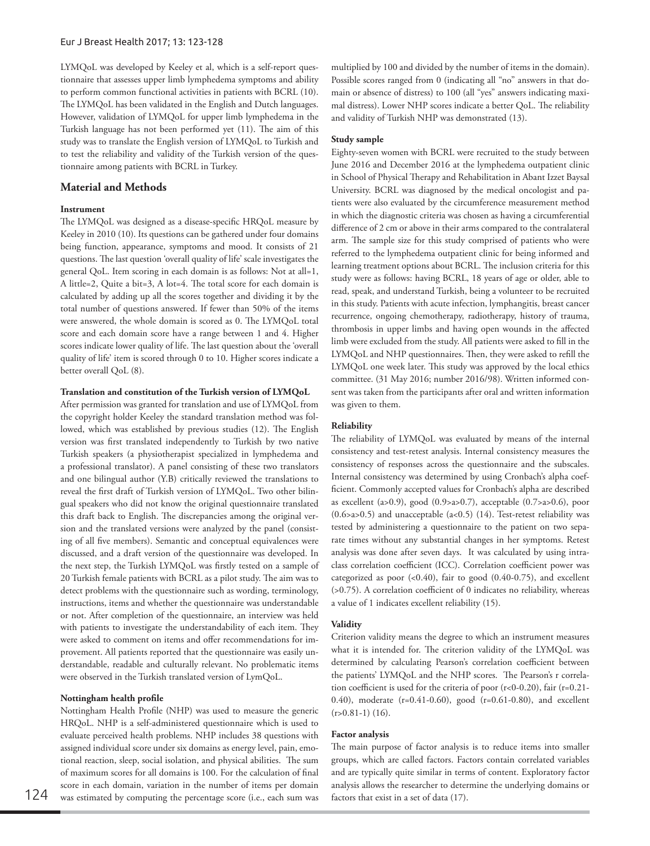LYMQoL was developed by Keeley et al, which is a self-report questionnaire that assesses upper limb lymphedema symptoms and ability to perform common functional activities in patients with BCRL (10). The LYMQoL has been validated in the English and Dutch languages. However, validation of LYMQoL for upper limb lymphedema in the Turkish language has not been performed yet (11). The aim of this study was to translate the English version of LYMQoL to Turkish and to test the reliability and validity of the Turkish version of the questionnaire among patients with BCRL in Turkey.

# **Material and Methods**

# **Instrument**

The LYMQoL was designed as a disease-specific HRQoL measure by Keeley in 2010 (10). Its questions can be gathered under four domains being function, appearance, symptoms and mood. It consists of 21 questions. The last question 'overall quality of life' scale investigates the general QoL. Item scoring in each domain is as follows: Not at all=1, A little=2, Quite a bit=3, A lot=4. The total score for each domain is calculated by adding up all the scores together and dividing it by the total number of questions answered. If fewer than 50% of the items were answered, the whole domain is scored as 0. The LYMQoL total score and each domain score have a range between 1 and 4. Higher scores indicate lower quality of life. The last question about the 'overall quality of life' item is scored through 0 to 10. Higher scores indicate a better overall QoL (8).

# **Translation and constitution of the Turkish version of LYMQoL**

After permission was granted for translation and use of LYMQoL from the copyright holder Keeley the standard translation method was followed, which was established by previous studies (12). The English version was first translated independently to Turkish by two native Turkish speakers (a physiotherapist specialized in lymphedema and a professional translator). A panel consisting of these two translators and one bilingual author (Y.B) critically reviewed the translations to reveal the first draft of Turkish version of LYMQoL. Two other bilingual speakers who did not know the original questionnaire translated this draft back to English. The discrepancies among the original version and the translated versions were analyzed by the panel (consisting of all five members). Semantic and conceptual equivalences were discussed, and a draft version of the questionnaire was developed. In the next step, the Turkish LYMQoL was firstly tested on a sample of 20 Turkish female patients with BCRL as a pilot study. The aim was to detect problems with the questionnaire such as wording, terminology, instructions, items and whether the questionnaire was understandable or not. After completion of the questionnaire, an interview was held with patients to investigate the understandability of each item. They were asked to comment on items and offer recommendations for improvement. All patients reported that the questionnaire was easily understandable, readable and culturally relevant. No problematic items were observed in the Turkish translated version of LymQoL.

## **Nottingham health profile**

Nottingham Health Profile (NHP) was used to measure the generic HRQoL. NHP is a self-administered questionnaire which is used to evaluate perceived health problems. NHP includes 38 questions with assigned individual score under six domains as energy level, pain, emotional reaction, sleep, social isolation, and physical abilities. The sum of maximum scores for all domains is 100. For the calculation of final score in each domain, variation in the number of items per domain 124 was estimated by computing the percentage score (i.e., each sum was factors that exist in a set of data (17).

## **Study sample**

Eighty-seven women with BCRL were recruited to the study between June 2016 and December 2016 at the lymphedema outpatient clinic in School of Physical Therapy and Rehabilitation in Abant Izzet Baysal University. BCRL was diagnosed by the medical oncologist and patients were also evaluated by the circumference measurement method in which the diagnostic criteria was chosen as having a circumferential difference of 2 cm or above in their arms compared to the contralateral arm. The sample size for this study comprised of patients who were referred to the lymphedema outpatient clinic for being informed and learning treatment options about BCRL. The inclusion criteria for this study were as follows: having BCRL, 18 years of age or older, able to read, speak, and understand Turkish, being a volunteer to be recruited in this study. Patients with acute infection, lymphangitis, breast cancer recurrence, ongoing chemotherapy, radiotherapy, history of trauma, thrombosis in upper limbs and having open wounds in the affected limb were excluded from the study. All patients were asked to fill in the LYMQoL and NHP questionnaires. Then, they were asked to refill the LYMQoL one week later. This study was approved by the local ethics committee. (31 May 2016; number 2016/98). Written informed consent was taken from the participants after oral and written information was given to them.

## **Reliability**

The reliability of LYMQoL was evaluated by means of the internal consistency and test-retest analysis. Internal consistency measures the consistency of responses across the questionnaire and the subscales. Internal consistency was determined by using Cronbach's alpha coefficient. Commonly accepted values for Cronbach's alpha are described as excellent (a>0.9), good (0.9>a>0.7), acceptable (0.7>a>0.6), poor  $(0.6$ >a> $0.5)$  and unacceptable (a< $0.5)$  (14). Test-retest reliability was tested by administering a questionnaire to the patient on two separate times without any substantial changes in her symptoms. Retest analysis was done after seven days. It was calculated by using intraclass correlation coefficient (ICC). Correlation coefficient power was categorized as poor  $(0.40)$ , fair to good  $(0.40-0.75)$ , and excellent (>0.75). A correlation coefficient of 0 indicates no reliability, whereas a value of 1 indicates excellent reliability (15).

#### **Validity**

Criterion validity means the degree to which an instrument measures what it is intended for. The criterion validity of the LYMQoL was determined by calculating Pearson's correlation coefficient between the patients' LYMQoL and the NHP scores. The Pearson's r correlation coefficient is used for the criteria of poor (r<0-0.20), fair (r=0.21- 0.40), moderate (r=0.41-0.60), good (r=0.61-0.80), and excellent  $(r>0.81-1)$  (16).

#### **Factor analysis**

The main purpose of factor analysis is to reduce items into smaller groups, which are called factors. Factors contain correlated variables and are typically quite similar in terms of content. Exploratory factor analysis allows the researcher to determine the underlying domains or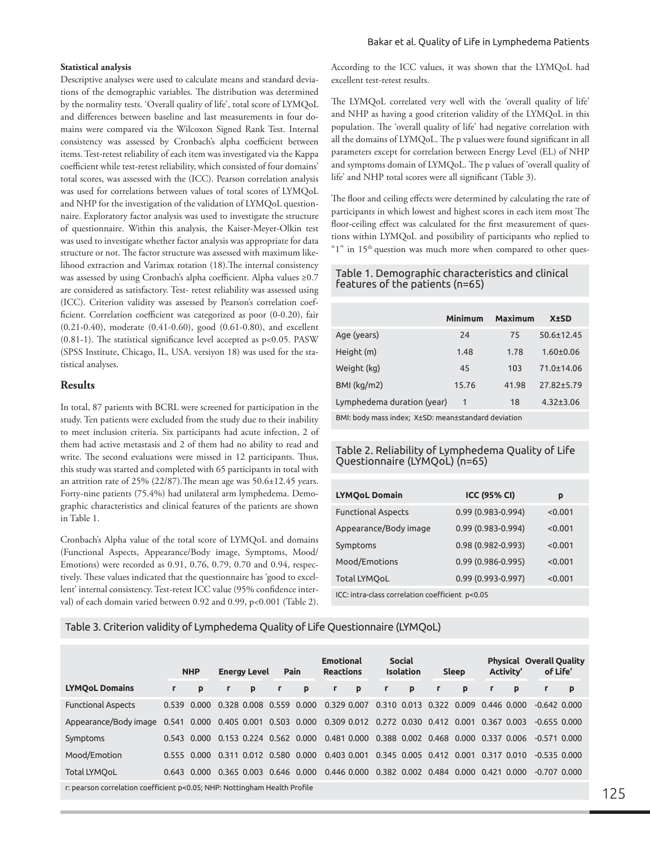## **Statistical analysis**

Descriptive analyses were used to calculate means and standard deviations of the demographic variables. The distribution was determined by the normality tests. 'Overall quality of life', total score of LYMQoL and differences between baseline and last measurements in four domains were compared via the Wilcoxon Signed Rank Test. Internal consistency was assessed by Cronbach's alpha coefficient between items. Test-retest reliability of each item was investigated via the Kappa coefficient while test-retest reliability, which consisted of four domains' total scores, was assessed with the (ICC). Pearson correlation analysis was used for correlations between values of total scores of LYMQoL and NHP for the investigation of the validation of LYMQoL questionnaire. Exploratory factor analysis was used to investigate the structure of questionnaire. Within this analysis, the Kaiser-Meyer-Olkin test was used to investigate whether factor analysis was appropriate for data structure or not. The factor structure was assessed with maximum likelihood extraction and Varimax rotation (18).The internal consistency was assessed by using Cronbach's alpha coefficient. Alpha values ≥0.7 are considered as satisfactory. Test- retest reliability was assessed using (ICC). Criterion validity was assessed by Pearson's correlation coefficient. Correlation coefficient was categorized as poor (0-0.20), fair (0.21-0.40), moderate (0.41-0.60), good (0.61-0.80), and excellent (0.81-1). The statistical significance level accepted as p<0.05. PASW (SPSS Institute, Chicago, IL, USA. versiyon 18) was used for the statistical analyses.

## **Results**

In total, 87 patients with BCRL were screened for participation in the study. Ten patients were excluded from the study due to their inability to meet inclusion criteria. Six participants had acute infection, 2 of them had active metastasis and 2 of them had no ability to read and write. The second evaluations were missed in 12 participants. Thus, this study was started and completed with 65 participants in total with an attrition rate of 25% (22/87). The mean age was  $50.6 \pm 12.45$  years. Forty-nine patients (75.4%) had unilateral arm lymphedema. Demographic characteristics and clinical features of the patients are shown in Table 1.

Cronbach's Alpha value of the total score of LYMQoL and domains (Functional Aspects, Appearance/Body image, Symptoms, Mood/ Emotions) were recorded as 0.91, 0.76, 0.79, 0.70 and 0.94, respectively. These values indicated that the questionnaire has 'good to excellent' internal consistency. Test-retest ICC value (95% confidence interval) of each domain varied between 0.92 and 0.99, p<0.001 (Table 2).

According to the ICC values, it was shown that the LYMQoL had excellent test-retest results.

The LYMQoL correlated very well with the 'overall quality of life' and NHP as having a good criterion validity of the LYMQoL in this population. The 'overall quality of life' had negative correlation with all the domains of LYMQoL. The p values were found significant in all parameters except for correlation between Energy Level (EL) of NHP and symptoms domain of LYMQoL. The p values of 'overall quality of life' and NHP total scores were all significant (Table 3).

The floor and ceiling effects were determined by calculating the rate of participants in which lowest and highest scores in each item most The floor-ceiling effect was calculated for the first measurement of questions within LYMQoL and possibility of participants who replied to "1" in  $15<sup>th</sup>$  question was much more when compared to other ques-

# Table 1. Demographic characteristics and clinical features of the patients (n=65)

|                            | <b>Minimum</b> | Maximum | <b>X</b> ±SD     |
|----------------------------|----------------|---------|------------------|
| Age (years)                | 24             | 75      | $50.6 \pm 12.45$ |
| Height (m)                 | 1.48           | 1.78    | $1.60 \pm 0.06$  |
| Weight (kg)                | 45             | 103     | 71.0±14.06       |
| $BMl$ (kg/m2)              | 15.76          | 41.98   | 27.82±5.79       |
| Lymphedema duration (year) | $\mathbf{1}$   | 18      | $4.32 \pm 3.06$  |
|                            |                |         |                  |

BMI: body mass index; X±SD: mean±standard deviation

# Table 2. Reliability of Lymphedema Quality of Life Questionnaire (LYMQoL) (n=65)

| <b>LYMOoL Domain</b>                            | <b>ICC (95% CI)</b>   | p       |  |  |  |  |  |  |
|-------------------------------------------------|-----------------------|---------|--|--|--|--|--|--|
| <b>Functional Aspects</b>                       | 0.99 (0.983-0.994)    | < 0.001 |  |  |  |  |  |  |
| Appearance/Body image                           | 0.99 (0.983-0.994)    | < 0.001 |  |  |  |  |  |  |
| Symptoms                                        | 0.98 (0.982-0.993)    | < 0.001 |  |  |  |  |  |  |
| Mood/Emotions                                   | $0.99(0.986 - 0.995)$ | < 0.001 |  |  |  |  |  |  |
| <b>Total LYMOoL</b>                             | 0.99 (0.993-0.997)    | < 0.001 |  |  |  |  |  |  |
| ICC: intra-class correlation coefficient p<0.05 |                       |         |  |  |  |  |  |  |

Table 3. Criterion validity of Lymphedema Quality of Life Questionnaire (LYMQoL)

|                                                                           |              | <b>NHP</b>  | <b>Pain</b><br><b>Energy Level</b> |             |                         | <b>Emotional</b><br><b>Reactions</b> | <b>Social</b><br><b>Isolation</b>               |    | <b>Sleep</b> |                                     | <b>Activity'</b> |             | <b>Physical Overall Quality</b><br>of Life' |                  |   |
|---------------------------------------------------------------------------|--------------|-------------|------------------------------------|-------------|-------------------------|--------------------------------------|-------------------------------------------------|----|--------------|-------------------------------------|------------------|-------------|---------------------------------------------|------------------|---|
| <b>LYMOoL Domains</b>                                                     | $\mathbf{r}$ | p           |                                    | p           |                         | p                                    | p<br>r.                                         | r. | p            | r.                                  | p                |             | p                                           | $\Gamma$         | p |
| <b>Functional Aspects</b>                                                 |              | 0.539 0.000 |                                    |             | 0.328 0.008 0.559 0.000 |                                      | 0.329 0.007                                     |    |              | 0.310 0.013 0.322 0.009             |                  | 0.446 0.000 |                                             | $-0.642$ $0.000$ |   |
| Appearance/Body image 0.541 0.000 0.405 0.001 0.503 0.000                 |              |             |                                    |             |                         |                                      | 0.309 0.012 0.272 0.030 0.412 0.001 0.367 0.003 |    |              |                                     |                  |             |                                             | $-0.655$ $0.000$ |   |
| Symptoms                                                                  |              | 0.543 0.000 |                                    |             | 0.153 0.224 0.562 0.000 |                                      | 0.481 0.000                                     |    |              | 0.388 0.002 0.468 0.000 0.337 0.006 |                  |             |                                             | $-0.571$ $0.000$ |   |
| Mood/Emotion                                                              |              | 0.555 0.000 |                                    |             | 0.311 0.012 0.580 0.000 |                                      | 0.403 0.001                                     |    |              | 0.345 0.005 0.412 0.001             |                  | 0.317 0.010 |                                             | $-0.535$ $0.000$ |   |
| <b>Total LYMQoL</b>                                                       |              | 0.643 0.000 |                                    | 0.365 0.003 | 0.646 0.000             |                                      | 0.446 0.000                                     |    |              | 0.382 0.002 0.484 0.000 0.421 0.000 |                  |             |                                             | $-0.707$ $0.000$ |   |
| r: pearson correlation coefficient p<0.05; NHP: Nottingham Health Profile |              |             |                                    |             |                         |                                      |                                                 |    |              |                                     |                  |             |                                             |                  |   |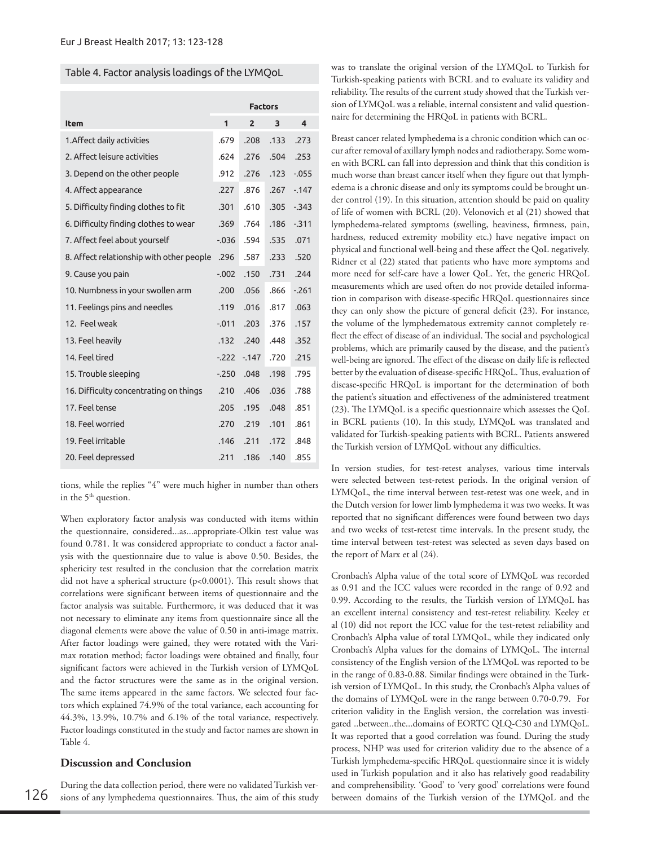## Table 4. Factor analysis loadings of the LYMQoL

|                                          | <b>Factors</b> |                |      |                         |  |  |  |  |
|------------------------------------------|----------------|----------------|------|-------------------------|--|--|--|--|
| <b>Item</b>                              | 1              | $\overline{2}$ | 3    | $\overline{\mathbf{A}}$ |  |  |  |  |
| 1. Affect daily activities               | .679           | .208           | .133 | .273                    |  |  |  |  |
| 2. Affect leisure activities             | .624           | .276           | .504 | .253                    |  |  |  |  |
| 3. Depend on the other people            | .912           | .276           | .123 | $-0.055$                |  |  |  |  |
| 4. Affect appearance                     | .227           | .876           | .267 | $-147$                  |  |  |  |  |
| 5. Difficulty finding clothes to fit     | .301           | .610           | .305 | $-343$                  |  |  |  |  |
| 6. Difficulty finding clothes to wear    | .369           | .764           | .186 | $-311$                  |  |  |  |  |
| 7. Affect feel about yourself            | $-0.036$       | .594           | .535 | .071                    |  |  |  |  |
| 8. Affect relationship with other people | .296           | .587           | .233 | .520                    |  |  |  |  |
| 9. Cause you pain                        | $-0.002$       | .150           | .731 | .244                    |  |  |  |  |
| 10. Numbness in your swollen arm         | .200           | .056           | .866 | $-261$                  |  |  |  |  |
| 11. Feelings pins and needles            | .119           | .016           | .817 | .063                    |  |  |  |  |
| 12. Feel weak                            | $-0.011$       | .203           | .376 | .157                    |  |  |  |  |
| 13. Feel heavily                         | .132           | .240           | .448 | .352                    |  |  |  |  |
| 14. Feel tired                           | $-222$         | $-147$         | .720 | .215                    |  |  |  |  |
| 15. Trouble sleeping                     | $-250$         | .048           | .198 | .795                    |  |  |  |  |
| 16. Difficulty concentrating on things   | .210           | .406           | .036 | .788                    |  |  |  |  |
| 17. Feel tense                           | .205           | .195           | .048 | .851                    |  |  |  |  |
| 18. Feel worried                         | .270           | .219           | .101 | .861                    |  |  |  |  |
| 19. Feel irritable                       | .146           | .211           | .172 | .848                    |  |  |  |  |
| 20. Feel depressed                       | .211           | .186           | .140 | .855                    |  |  |  |  |

tions, while the replies "4" were much higher in number than others in the 5<sup>th</sup> question.

When exploratory factor analysis was conducted with items within the questionnaire, considered...as...appropriate-Olkin test value was found 0.781. It was considered appropriate to conduct a factor analysis with the questionnaire due to value is above 0.50. Besides, the sphericity test resulted in the conclusion that the correlation matrix did not have a spherical structure (p<0.0001). This result shows that correlations were significant between items of questionnaire and the factor analysis was suitable. Furthermore, it was deduced that it was not necessary to eliminate any items from questionnaire since all the diagonal elements were above the value of 0.50 in anti-image matrix. After factor loadings were gained, they were rotated with the Varimax rotation method; factor loadings were obtained and finally, four significant factors were achieved in the Turkish version of LYMQoL and the factor structures were the same as in the original version. The same items appeared in the same factors. We selected four factors which explained 74.9% of the total variance, each accounting for 44.3%, 13.9%, 10.7% and 6.1% of the total variance, respectively. Factor loadings constituted in the study and factor names are shown in Table 4.

# **Discussion and Conclusion**

During the data collection period, there were no validated Turkish versions of any lymphedema questionnaires. Thus, the aim of this study was to translate the original version of the LYMQoL to Turkish for Turkish-speaking patients with BCRL and to evaluate its validity and reliability. The results of the current study showed that the Turkish version of LYMQoL was a reliable, internal consistent and valid questionnaire for determining the HRQoL in patients with BCRL.

Breast cancer related lymphedema is a chronic condition which can occur after removal of axillary lymph nodes and radiotherapy. Some women with BCRL can fall into depression and think that this condition is much worse than breast cancer itself when they figure out that lymphedema is a chronic disease and only its symptoms could be brought under control (19). In this situation, attention should be paid on quality of life of women with BCRL (20). Velonovich et al (21) showed that lymphedema-related symptoms (swelling, heaviness, firmness, pain, hardness, reduced extremity mobility etc.) have negative impact on physical and functional well-being and these affect the QoL negatively. Ridner et al (22) stated that patients who have more symptoms and more need for self-care have a lower QoL. Yet, the generic HRQoL measurements which are used often do not provide detailed information in comparison with disease-specific HRQoL questionnaires since they can only show the picture of general deficit (23). For instance, the volume of the lymphedematous extremity cannot completely reflect the effect of disease of an individual. The social and psychological problems, which are primarily caused by the disease, and the patient's well-being are ignored. The effect of the disease on daily life is reflected better by the evaluation of disease-specific HRQoL. Thus, evaluation of disease-specific HRQoL is important for the determination of both the patient's situation and effectiveness of the administered treatment (23). The LYMQoL is a specific questionnaire which assesses the QoL in BCRL patients (10). In this study, LYMQoL was translated and validated for Turkish-speaking patients with BCRL. Patients answered the Turkish version of LYMQoL without any difficulties.

In version studies, for test-retest analyses, various time intervals were selected between test-retest periods. In the original version of LYMQoL, the time interval between test-retest was one week, and in the Dutch version for lower limb lymphedema it was two weeks. It was reported that no significant differences were found between two days and two weeks of test-retest time intervals. In the present study, the time interval between test-retest was selected as seven days based on the report of Marx et al (24).

Cronbach's Alpha value of the total score of LYMQoL was recorded as 0.91 and the ICC values were recorded in the range of 0.92 and 0.99. According to the results, the Turkish version of LYMQoL has an excellent internal consistency and test-retest reliability. Keeley et al (10) did not report the ICC value for the test-retest reliability and Cronbach's Alpha value of total LYMQoL, while they indicated only Cronbach's Alpha values for the domains of LYMQoL. The internal consistency of the English version of the LYMQoL was reported to be in the range of 0.83-0.88. Similar findings were obtained in the Turkish version of LYMQoL. In this study, the Cronbach's Alpha values of the domains of LYMQoL were in the range between 0.70-0.79. For criterion validity in the English version, the correlation was investigated ..between..the...domains of EORTC QLQ-C30 and LYMQoL. It was reported that a good correlation was found. During the study process, NHP was used for criterion validity due to the absence of a Turkish lymphedema-specific HRQoL questionnaire since it is widely used in Turkish population and it also has relatively good readability and comprehensibility. 'Good' to 'very good' correlations were found between domains of the Turkish version of the LYMQoL and the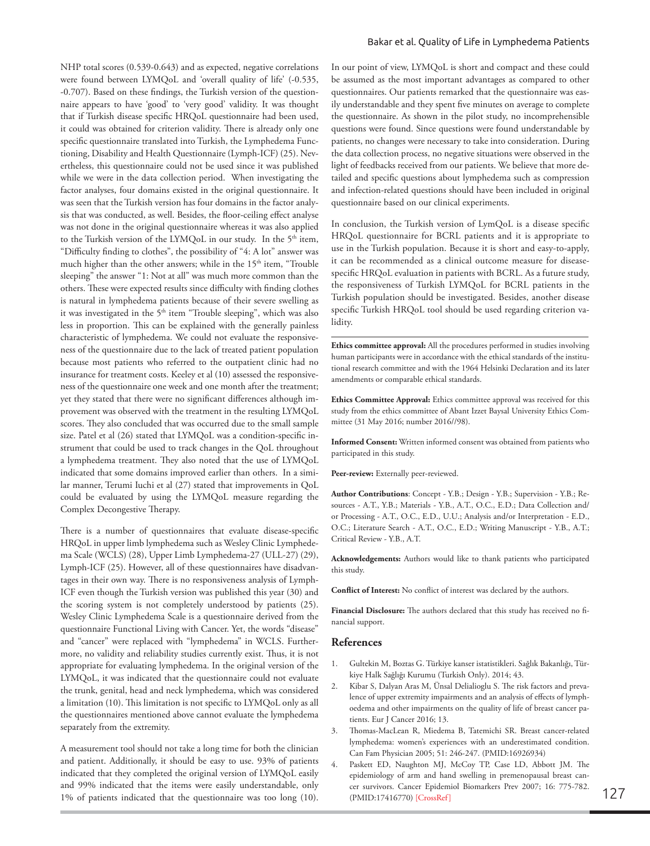NHP total scores (0.539-0.643) and as expected, negative correlations were found between LYMQoL and 'overall quality of life' (-0.535, -0.707). Based on these findings, the Turkish version of the questionnaire appears to have 'good' to 'very good' validity. It was thought that if Turkish disease specific HRQoL questionnaire had been used, it could was obtained for criterion validity. There is already only one specific questionnaire translated into Turkish, the Lymphedema Functioning, Disability and Health Questionnaire (Lymph-ICF) (25). Nevertheless, this questionnaire could not be used since it was published while we were in the data collection period. When investigating the factor analyses, four domains existed in the original questionnaire. It was seen that the Turkish version has four domains in the factor analysis that was conducted, as well. Besides, the floor-ceiling effect analyse was not done in the original questionnaire whereas it was also applied to the Turkish version of the LYMQoL in our study. In the 5<sup>th</sup> item, "Difficulty finding to clothes", the possibility of "4: A lot" answer was much higher than the other answers; while in the 15<sup>th</sup> item, "Trouble sleeping" the answer "1: Not at all" was much more common than the others. These were expected results since difficulty with finding clothes is natural in lymphedema patients because of their severe swelling as it was investigated in the 5<sup>th</sup> item "Trouble sleeping", which was also less in proportion. This can be explained with the generally painless characteristic of lymphedema. We could not evaluate the responsiveness of the questionnaire due to the lack of treated patient population because most patients who referred to the outpatient clinic had no insurance for treatment costs. Keeley et al (10) assessed the responsiveness of the questionnaire one week and one month after the treatment; yet they stated that there were no significant differences although improvement was observed with the treatment in the resulting LYMQoL scores. They also concluded that was occurred due to the small sample size. Patel et al (26) stated that LYMQoL was a condition-specific instrument that could be used to track changes in the QoL throughout a lymphedema treatment. They also noted that the use of LYMQoL indicated that some domains improved earlier than others. In a similar manner, Terumi Iuchi et al (27) stated that improvements in QoL could be evaluated by using the LYMQoL measure regarding the Complex Decongestive Therapy.

There is a number of questionnaires that evaluate disease-specific HRQoL in upper limb lymphedema such as Wesley Clinic Lymphedema Scale (WCLS) (28), Upper Limb Lymphedema-27 (ULL-27) (29), Lymph-ICF (25). However, all of these questionnaires have disadvantages in their own way. There is no responsiveness analysis of Lymph-ICF even though the Turkish version was published this year (30) and the scoring system is not completely understood by patients (25). Wesley Clinic Lymphedema Scale is a questionnaire derived from the questionnaire Functional Living with Cancer. Yet, the words "disease" and "cancer" were replaced with "lymphedema" in WCLS. Furthermore, no validity and reliability studies currently exist. Thus, it is not appropriate for evaluating lymphedema. In the original version of the LYMQoL, it was indicated that the questionnaire could not evaluate the trunk, genital, head and neck lymphedema, which was considered a limitation (10). This limitation is not specific to LYMQoL only as all the questionnaires mentioned above cannot evaluate the lymphedema separately from the extremity.

A measurement tool should not take a long time for both the clinician and patient. Additionally, it should be easy to use. 93% of patients indicated that they completed the original version of LYMQoL easily and 99% indicated that the items were easily understandable, only 1% of patients indicated that the questionnaire was too long (10).

In our point of view, LYMQoL is short and compact and these could be assumed as the most important advantages as compared to other questionnaires. Our patients remarked that the questionnaire was easily understandable and they spent five minutes on average to complete the questionnaire. As shown in the pilot study, no incomprehensible questions were found. Since questions were found understandable by patients, no changes were necessary to take into consideration. During the data collection process, no negative situations were observed in the light of feedbacks received from our patients. We believe that more detailed and specific questions about lymphedema such as compression and infection-related questions should have been included in original questionnaire based on our clinical experiments.

In conclusion, the Turkish version of LymQoL is a disease specific HRQoL questionnaire for BCRL patients and it is appropriate to use in the Turkish population. Because it is short and easy-to-apply, it can be recommended as a clinical outcome measure for diseasespecific HRQoL evaluation in patients with BCRL. As a future study, the responsiveness of Turkish LYMQoL for BCRL patients in the Turkish population should be investigated. Besides, another disease specific Turkish HRQoL tool should be used regarding criterion validity.

**Ethics committee approval:** All the procedures performed in studies involving human participants were in accordance with the ethical standards of the institutional research committee and with the 1964 Helsinki Declaration and its later amendments or comparable ethical standards.

**Ethics Committee Approval:** Ethics committee approval was received for this study from the ethics committee of Abant Izzet Baysal University Ethics Committee (31 May 2016; number 2016//98).

**Informed Consent:** Written informed consent was obtained from patients who participated in this study.

Peer-review: Externally peer-reviewed.

**Author Contributions**: Concept - Y.B.; Design - Y.B.; Supervision - Y.B.; Resources - A.T., Y.B.; Materials - Y.B., A.T., O.C., E.D.; Data Collection and/ or Processing - A.T., O.C., E.D., U.U.; Analysis and/or Interpretation - E.D., O.C.; Literature Search - A.T., O.C., E.D.; Writing Manuscript - Y.B., A.T.; Critical Review - Y.B., A.T.

**Acknowledgements:** Authors would like to thank patients who participated this study.

**Conflict of Interest:** No conflict of interest was declared by the authors.

**Financial Disclosure:** The authors declared that this study has received no financial support.

# **References**

- 1. Gultekin M, Boztas G. Türkiye kanser istatistikleri. Sağlık Bakanlığı, Türkiye Halk Sağlığı Kurumu (Turkish Only). 2014; 43.
- 2. Kibar S, Dalyan Aras M, Ünsal Delialioglu S. The risk factors and prevalence of upper extremity impairments and an analysis of effects of lymphoedema and other impairments on the quality of life of breast cancer patients. Eur J Cancer 2016; 13.
- 3. Thomas-MacLean R, Miedema B, Tatemichi SR. Breast cancer-related lymphedema: women's experiences with an underestimated condition. Can Fam Physician 2005; 51: 246-247. (PMID:16926934)
- 4. Paskett ED, Naughton MJ, McCoy TP, Case LD, Abbott JM. The epidemiology of arm and hand swelling in premenopausal breast can-cer survivors. Cancer Epidemiol Biomarkers Prev 2007; 16: 775-782. <br>(PMID:17416770) [\[CrossRef\]](https://doi.org/10.1158/1055-9965.EPI-06-0168)